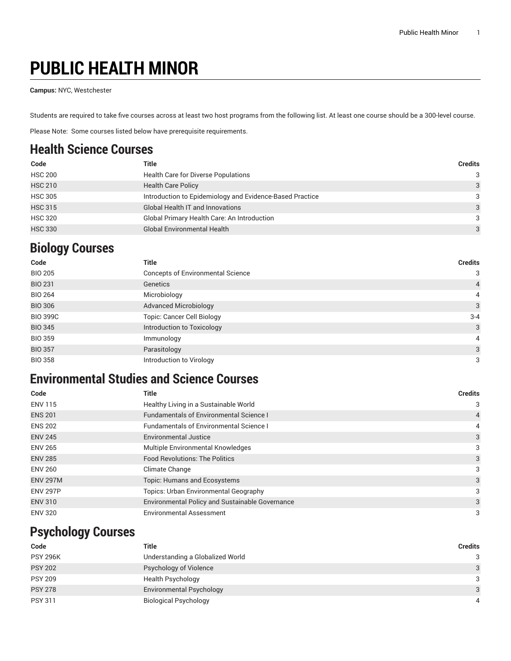# **PUBLIC HEALTH MINOR**

**Campus:** NYC, Westchester

Students are required to take five courses across at least two host programs from the following list. At least one course should be a 300-level course.

Please Note: Some courses listed below have prerequisite requirements.

### **Health Science Courses**

| Code           | Title                                                    | <b>Credits</b> |
|----------------|----------------------------------------------------------|----------------|
| <b>HSC 200</b> | Health Care for Diverse Populations                      | 3              |
| <b>HSC 210</b> | <b>Health Care Policy</b>                                | 3              |
| <b>HSC 305</b> | Introduction to Epidemiology and Evidence-Based Practice | 3              |
| <b>HSC 315</b> | <b>Global Health IT and Innovations</b>                  | 3              |
| <b>HSC 320</b> | Global Primary Health Care: An Introduction              | 3              |
| <b>HSC 330</b> | <b>Global Environmental Health</b>                       | 3              |

## **Biology Courses**

| Code            | <b>Title</b>                             | <b>Credits</b> |
|-----------------|------------------------------------------|----------------|
| <b>BIO 205</b>  | <b>Concepts of Environmental Science</b> | 3              |
| <b>BIO 231</b>  | Genetics                                 | $\overline{4}$ |
| <b>BIO 264</b>  | Microbiology                             | $\overline{4}$ |
| <b>BIO 306</b>  | <b>Advanced Microbiology</b>             | 3              |
| <b>BIO 399C</b> | <b>Topic: Cancer Cell Biology</b>        | $3 - 4$        |
| <b>BIO 345</b>  | Introduction to Toxicology               | 3              |
| <b>BIO 359</b>  | Immunology                               | 4              |
| <b>BIO 357</b>  | Parasitology                             | 3              |
| <b>BIO 358</b>  | Introduction to Virology                 | 3              |

### **Environmental Studies and Science Courses**

| Code            | <b>Title</b>                                    | <b>Credits</b> |
|-----------------|-------------------------------------------------|----------------|
| <b>ENV 115</b>  | Healthy Living in a Sustainable World           | 3              |
| <b>ENS 201</b>  | <b>Fundamentals of Environmental Science I</b>  | 4              |
| <b>ENS 202</b>  | <b>Fundamentals of Environmental Science I</b>  | 4              |
| <b>ENV 245</b>  | <b>Environmental Justice</b>                    | 3              |
| <b>ENV 265</b>  | Multiple Environmental Knowledges               | 3              |
| <b>ENV 285</b>  | <b>Food Revolutions: The Politics</b>           | 3              |
| <b>ENV 260</b>  | Climate Change                                  | 3              |
| <b>ENV 297M</b> | Topic: Humans and Ecosystems                    | 3              |
| <b>ENV 297P</b> | <b>Topics: Urban Environmental Geography</b>    | 3              |
| <b>ENV 310</b>  | Environmental Policy and Sustainable Governance | 3              |
| <b>ENV 320</b>  | <b>Environmental Assessment</b>                 | 3              |

#### **Psychology Courses**

| Code            | Title                            | <b>Credits</b> |
|-----------------|----------------------------------|----------------|
| <b>PSY 296K</b> | Understanding a Globalized World | 3              |
| <b>PSY 202</b>  | Psychology of Violence           | 3              |
| <b>PSY 209</b>  | Health Psychology                | 3              |
| <b>PSY 278</b>  | Environmental Psychology         | 3              |
| <b>PSY 311</b>  | <b>Biological Psychology</b>     | 4              |